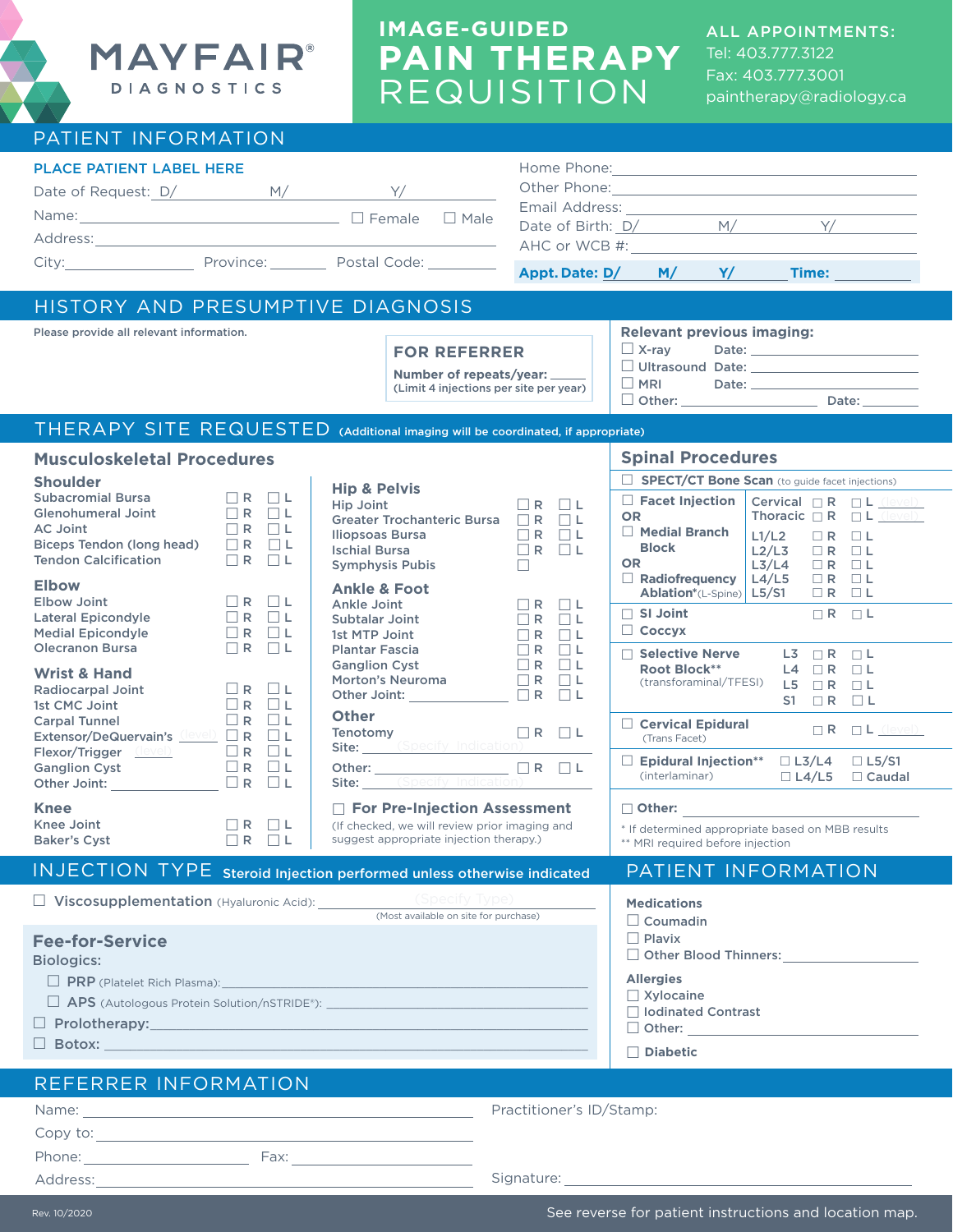

# **IMAGE-GUIDED PAIN THERAPY** REQUISITION

ALL APPOINTMENTS: Tel: 403.777.3122 Fax: 403.777.3001 paintherapy@radiology.ca

## PATIENT INFORMATION

| $\blacksquare$                                            |                                                                   |                                                                                                                                                                                                                                                                                                               |  |
|-----------------------------------------------------------|-------------------------------------------------------------------|---------------------------------------------------------------------------------------------------------------------------------------------------------------------------------------------------------------------------------------------------------------------------------------------------------------|--|
| <b>PLACE PATIENT LABEL HERE</b><br>Date of Request: D/ M/ | Y/                                                                |                                                                                                                                                                                                                                                                                                               |  |
|                                                           | $\Box$ Male                                                       | Email Address: <u>[19] Containing</u><br>Date of Birth: $D/$ M/<br>Y/                                                                                                                                                                                                                                         |  |
| City: City:                                               | Province: Postal Code: 2000                                       | Appt. Date: D/ M/ Y/ Time:                                                                                                                                                                                                                                                                                    |  |
| HISTORY AND PRESUMPTIVE DIAGNOSIS                         |                                                                   |                                                                                                                                                                                                                                                                                                               |  |
| Please provide all relevant information.                  |                                                                   | <b>Relevant previous imaging:</b>                                                                                                                                                                                                                                                                             |  |
|                                                           | <b>FOR REFERRER</b>                                               | □ X-ray Date: <u>______________________</u>                                                                                                                                                                                                                                                                   |  |
|                                                           | Number of repeats/year:<br>(Limit 4 injections per site per year) | □ MRI Date: <u>_______________________</u><br>□ Other: ____________________<br>Date: the part of the state of the state of the state of the state of the state of the state of the state of the state of the state of the state of the state of the state of the state of the state of the state of the state |  |

### **Fee-for-Service**  Biologics:  $\Box$  PRP (Platelet Rich Plasma):  $\Box$  APS (Autologous Protein Solution/nSTRIDE®):  $\Box$  $\square$  Prolotherapy: PATIENT INFORMATION **Medications**   $\Box$  Coumadin  $\Box$  Plavix □ Other Blood Thinners: **Allergies**  $\square$  Xylocaine □ Iodinated Contrast INJECTION TYPESteroid Injection performed unless otherwise indicated □ Viscosupplementation (Hyaluronic Acid): (Most available on site for purchase) **Musculoskeletal Procedures Shoulder** Subacromial Bursa  $\Box$  R  $\Box$  L<br>Glenohumeral Joint  $\Box$  R  $\Box$  L Glenohumeral Joint<br>AC Joint  $\begin{array}{ccc} \square R & \square L \\ \square R & \square L \end{array}$ Biceps Tendon (long head)  $\Box R$   $\Box L$ <br>Tendon Calcification  $\Box R$   $\Box L$ **Tendon Calcification Elbow** Elbow Joint  $\Box R$   $\Box L$ <br>
Lateral Epicondyle  $\Box R$   $\Box L$ Lateral Epicondyle  $\Box$  R  $\Box$  L<br>Medial Epicondyle  $\Box$  R  $\Box$  L Medial Epicondyle  $\Box$  R  $\Box$  L<br>Olecranon Bursa  $\Box$  R  $\Box$  L Olecranon Bursa **Wrist & Hand** Radiocarpal Joint  $\Box$  R  $\Box$  L<br>1st CMC Joint  $\Box$  R  $\Box$  L  $1$ st CMC Joint  $\Box$  R  $\Box$  L<br>Carpal Tunnel  $\Box$  R  $\Box$  L Carpal Tunnel  $\Box$  R  $\Box$  L<br>Extensor/DeQuervain's (level)  $\Box$  R  $\Box$  L **Extensor/DeQuervain's**  $\frac{(\text{level})}{\text{C}} \square \mathbf{R} \square \mathbf{L}$ <br>Flexor/Trigger  $(\text{level}) \square \mathbf{R} \square \mathbf{L}$ Flexor/Trigger  $(\text{level})$  R  $\Box$  L Ganglion Cyst  $\Box R$   $\Box L$ Other Joint:  $\Box R$   $\Box L$ **Knee** Knee Joint  $\Box$  R  $\Box$  L<br>Baker's Cyst  $\Box$  R  $\Box$  L Baker's Cyst **Hip & Pelvis**  $\begin{array}{ccc} \square R & \square L \\ \square R & \square L \end{array}$ Greater Trochanteric Bursa  $\Box R$   $\Box L$ <br>Iliopsoas Bursa  $\Box R$   $\Box L$ Iliopsoas Bursa  $\Box$  R  $\Box$  L<br>Ischial Bursa  $\Box$  R  $\Box$  L  $I$ Ischial Bursa<br>Symphysis Pubis  $\Box$ Symphysis Pubis £ **Ankle & Foot** Ankle Joint  $\Box$  R  $\Box$  L<br>Subtalar Joint  $\Box$  R  $\Box$  L Subtalar Joint  $\Box$  R  $\Box$  L<br>1st MTP Joint  $\Box$  R  $\Box$  L 1st MTP Joint  $\Box$  R<br>Plantar Fascia  $\Box$  R Plantar Fascia<br>  $G$ anglion Cyst  $\Box$  R  $\Box$  L Ganglion Cyst<br>
Morton's Neuroma<br>  $\Box R$   $\Box L$ Morton's Neuroma  $\Box$  R  $\Box$  L<br>Other Joint:  $\Box$  R  $\Box$  L Other Joint: **Other** Tenotomy  $\Box R$   $\Box L$ Site: Other:  $\Box R$   $\Box L$ Site: £ **For Pre-Injection Assessment** (If checked, we will review prior imaging and suggest appropriate injection therapy.) (Specify Indication) **Spinal Procedures Example 3 SPECT/CT Bone Scan** (to guide facet injections) **Block OR**  $\begin{array}{ccc} \Box \text{ Radiofrequency} & \text{L4/L5} & \Box \text{ R} & \Box \text{ L} \\ \end{array}$  $\Box$  SI Joint  $\Box$  R  $\Box$  L £ **Coccyx** □ Selective Nerve L3 □ R □ L **Root Block\*\*** L4 □ R □ L (transforaminal/TFESI)  $\begin{array}{ccc} \mathsf{L5} & \square & \square \\ \mathsf{S1} & \square & \mathsf{R} \end{array}$ S1  $\Box$  R £ **Cervical Epidural** (Trans Facet) □ **Epidural Injection\*\*** □ L3/L4<br>(interlaminar) □ L4/L5 (interlaminar) Ī £ **Other:** \* If determined appropriate based on MBB results \*\* MRI required before injection Cervical  $\Box R$   $\Box L$ Thoracic  $\Box R$   $\Box L$  $L1/L2$   $\Box R$   $\Box L$ <br> $L2/L3$   $\Box R$   $\Box L$  $L2/L3$   $\Box R$   $\Box L$ <br> $L3/L4$   $\Box R$   $\Box L$  $L3/L4$   $\Box$  R  $\Box$  L<br> $L4/L5$   $\Box$  R  $\Box$  L **Ablation**\*(L-Spine) **L5/S1** □ R □ L □ Facet Injection **OR** £ **Medial Branch**  $\Box$  L5/S1 □ Caudal  $R$   $L$  (level) (level)

| REFERRER INFORMATION |                          |  |
|----------------------|--------------------------|--|
| Name:                | Practitioner's ID/Stamp: |  |
| Copy to:             |                          |  |
| Phone:<br>Fax:       |                          |  |
| Address:             | Signature:               |  |

 $\Box$  Botox:

□ Other: £ **Diabetic**